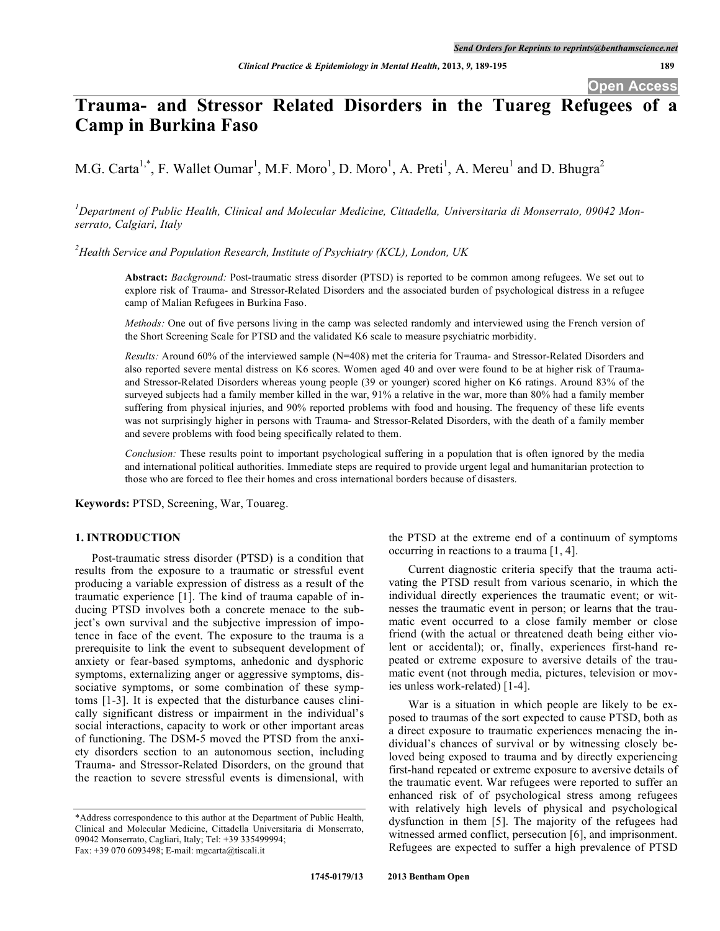# **Trauma- and Stressor Related Disorders in the Tuareg Refugees of a Camp in Burkina Faso**

M.G. Carta<sup>1,\*</sup>, F. Wallet Oumar<sup>1</sup>, M.F. Moro<sup>1</sup>, D. Moro<sup>1</sup>, A. Preti<sup>1</sup>, A. Mereu<sup>1</sup> and D. Bhugra<sup>2</sup>

*1 Department of Public Health, Clinical and Molecular Medicine, Cittadella, Universitaria di Monserrato, 09042 Monserrato, Calgiari, Italy*

*2 Health Service and Population Research, Institute of Psychiatry (KCL), London, UK*

**Abstract:** *Background:* Post-traumatic stress disorder (PTSD) is reported to be common among refugees. We set out to explore risk of Trauma- and Stressor-Related Disorders and the associated burden of psychological distress in a refugee camp of Malian Refugees in Burkina Faso.

*Methods:* One out of five persons living in the camp was selected randomly and interviewed using the French version of the Short Screening Scale for PTSD and the validated K6 scale to measure psychiatric morbidity.

*Results:* Around 60% of the interviewed sample (N=408) met the criteria for Trauma- and Stressor-Related Disorders and also reported severe mental distress on K6 scores. Women aged 40 and over were found to be at higher risk of Traumaand Stressor-Related Disorders whereas young people (39 or younger) scored higher on K6 ratings. Around 83% of the surveyed subjects had a family member killed in the war, 91% a relative in the war, more than 80% had a family member suffering from physical injuries, and 90% reported problems with food and housing. The frequency of these life events was not surprisingly higher in persons with Trauma- and Stressor-Related Disorders, with the death of a family member and severe problems with food being specifically related to them.

*Conclusion:* These results point to important psychological suffering in a population that is often ignored by the media and international political authorities. Immediate steps are required to provide urgent legal and humanitarian protection to those who are forced to flee their homes and cross international borders because of disasters.

**Keywords:** PTSD, Screening, War, Touareg.

# **1. INTRODUCTION**

Post-traumatic stress disorder (PTSD) is a condition that results from the exposure to a traumatic or stressful event producing a variable expression of distress as a result of the traumatic experience [1]. The kind of trauma capable of inducing PTSD involves both a concrete menace to the subject's own survival and the subjective impression of impotence in face of the event. The exposure to the trauma is a prerequisite to link the event to subsequent development of anxiety or fear-based symptoms, anhedonic and dysphoric symptoms, externalizing anger or aggressive symptoms, dissociative symptoms, or some combination of these symptoms [1-3]. It is expected that the disturbance causes clinically significant distress or impairment in the individual's social interactions, capacity to work or other important areas of functioning. The DSM-5 moved the PTSD from the anxiety disorders section to an autonomous section, including Trauma- and Stressor-Related Disorders, on the ground that the reaction to severe stressful events is dimensional, with

the PTSD at the extreme end of a continuum of symptoms occurring in reactions to a trauma [1, 4].

Current diagnostic criteria specify that the trauma activating the PTSD result from various scenario, in which the individual directly experiences the traumatic event; or witnesses the traumatic event in person; or learns that the traumatic event occurred to a close family member or close friend (with the actual or threatened death being either violent or accidental); or, finally, experiences first-hand repeated or extreme exposure to aversive details of the traumatic event (not through media, pictures, television or movies unless work-related) [1-4].

War is a situation in which people are likely to be exposed to traumas of the sort expected to cause PTSD, both as a direct exposure to traumatic experiences menacing the individual's chances of survival or by witnessing closely beloved being exposed to trauma and by directly experiencing first-hand repeated or extreme exposure to aversive details of the traumatic event. War refugees were reported to suffer an enhanced risk of of psychological stress among refugees with relatively high levels of physical and psychological dysfunction in them [5]. The majority of the refugees had witnessed armed conflict, persecution [6], and imprisonment. Refugees are expected to suffer a high prevalence of PTSD

<sup>\*</sup>Address correspondence to this author at the Department of Public Health, Clinical and Molecular Medicine, Cittadella Universitaria di Monserrato, 09042 Monserrato, Cagliari, Italy; Tel: +39 335499994; Fax: +39 070 6093498; E-mail: mgcarta@tiscali.it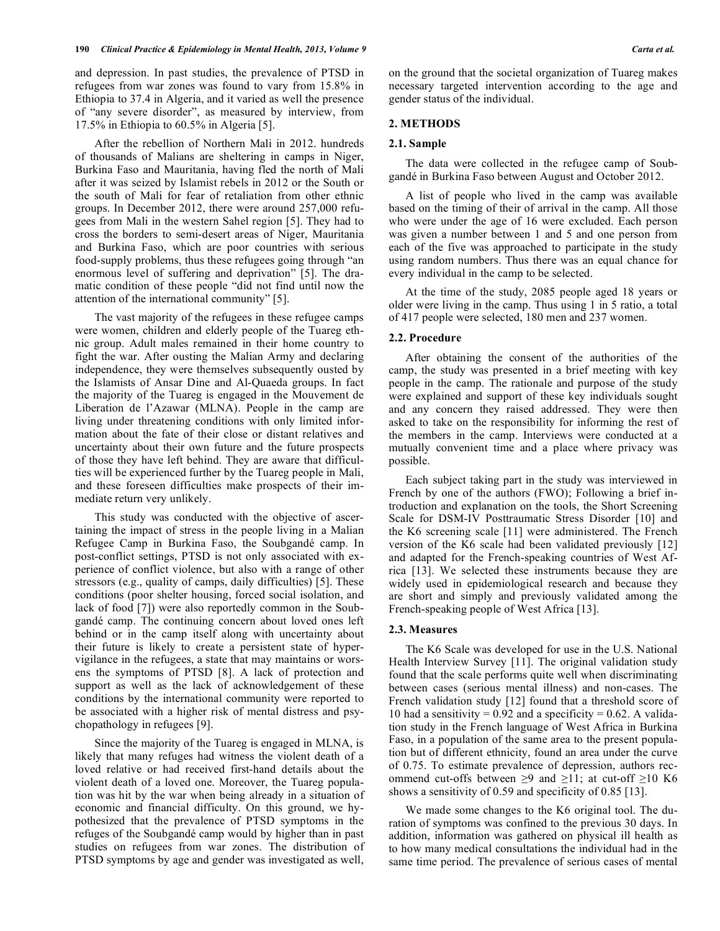and depression. In past studies, the prevalence of PTSD in refugees from war zones was found to vary from 15.8% in Ethiopia to 37.4 in Algeria, and it varied as well the presence of "any severe disorder", as measured by interview, from 17.5% in Ethiopia to 60.5% in Algeria [5].

After the rebellion of Northern Mali in 2012. hundreds of thousands of Malians are sheltering in camps in Niger, Burkina Faso and Mauritania, having fled the north of Mali after it was seized by Islamist rebels in 2012 or the South or the south of Mali for fear of retaliation from other ethnic groups. In December 2012, there were around 257,000 refugees from Mali in the western Sahel region [5]. They had to cross the borders to semi-desert areas of Niger, Mauritania and Burkina Faso, which are poor countries with serious food-supply problems, thus these refugees going through "an enormous level of suffering and deprivation" [5]. The dramatic condition of these people "did not find until now the attention of the international community" [5].

The vast majority of the refugees in these refugee camps were women, children and elderly people of the Tuareg ethnic group. Adult males remained in their home country to fight the war. After ousting the Malian Army and declaring independence, they were themselves subsequently ousted by the Islamists of Ansar Dine and Al-Quaeda groups. In fact the majority of the Tuareg is engaged in the Mouvement de Liberation de l'Azawar (MLNA). People in the camp are living under threatening conditions with only limited information about the fate of their close or distant relatives and uncertainty about their own future and the future prospects of those they have left behind. They are aware that difficulties will be experienced further by the Tuareg people in Mali, and these foreseen difficulties make prospects of their immediate return very unlikely.

This study was conducted with the objective of ascertaining the impact of stress in the people living in a Malian Refugee Camp in Burkina Faso, the Soubgandé camp. In post-conflict settings, PTSD is not only associated with experience of conflict violence, but also with a range of other stressors (e.g., quality of camps, daily difficulties) [5]. These conditions (poor shelter housing, forced social isolation, and lack of food [7]) were also reportedly common in the Soubgandé camp. The continuing concern about loved ones left behind or in the camp itself along with uncertainty about their future is likely to create a persistent state of hypervigilance in the refugees, a state that may maintains or worsens the symptoms of PTSD [8]. A lack of protection and support as well as the lack of acknowledgement of these conditions by the international community were reported to be associated with a higher risk of mental distress and psychopathology in refugees [9].

Since the majority of the Tuareg is engaged in MLNA, is likely that many refuges had witness the violent death of a loved relative or had received first-hand details about the violent death of a loved one. Moreover, the Tuareg population was hit by the war when being already in a situation of economic and financial difficulty. On this ground, we hypothesized that the prevalence of PTSD symptoms in the refuges of the Soubgandé camp would by higher than in past studies on refugees from war zones. The distribution of PTSD symptoms by age and gender was investigated as well,

on the ground that the societal organization of Tuareg makes necessary targeted intervention according to the age and gender status of the individual.

# **2. METHODS**

# **2.1. Sample**

The data were collected in the refugee camp of Soubgandé in Burkina Faso between August and October 2012.

A list of people who lived in the camp was available based on the timing of their of arrival in the camp. All those who were under the age of 16 were excluded. Each person was given a number between 1 and 5 and one person from each of the five was approached to participate in the study using random numbers. Thus there was an equal chance for every individual in the camp to be selected.

At the time of the study, 2085 people aged 18 years or older were living in the camp. Thus using 1 in 5 ratio, a total of 417 people were selected, 180 men and 237 women.

# **2.2. Procedure**

After obtaining the consent of the authorities of the camp, the study was presented in a brief meeting with key people in the camp. The rationale and purpose of the study were explained and support of these key individuals sought and any concern they raised addressed. They were then asked to take on the responsibility for informing the rest of the members in the camp. Interviews were conducted at a mutually convenient time and a place where privacy was possible.

Each subject taking part in the study was interviewed in French by one of the authors (FWO); Following a brief introduction and explanation on the tools, the Short Screening Scale for DSM-IV Posttraumatic Stress Disorder [10] and the K6 screening scale [11] were administered. The French version of the K6 scale had been validated previously [12] and adapted for the French-speaking countries of West Africa [13]. We selected these instruments because they are widely used in epidemiological research and because they are short and simply and previously validated among the French-speaking people of West Africa [13].

### **2.3. Measures**

The K6 Scale was developed for use in the U.S. National Health Interview Survey [11]. The original validation study found that the scale performs quite well when discriminating between cases (serious mental illness) and non-cases. The French validation study [12] found that a threshold score of 10 had a sensitivity =  $0.92$  and a specificity = 0.62. A validation study in the French language of West Africa in Burkina Faso, in a population of the same area to the present population but of different ethnicity, found an area under the curve of 0.75. To estimate prevalence of depression, authors recommend cut-offs between ≥9 and ≥11; at cut-off ≥10 K6 shows a sensitivity of 0.59 and specificity of 0.85 [13].

We made some changes to the K6 original tool. The duration of symptoms was confined to the previous 30 days. In addition, information was gathered on physical ill health as to how many medical consultations the individual had in the same time period. The prevalence of serious cases of mental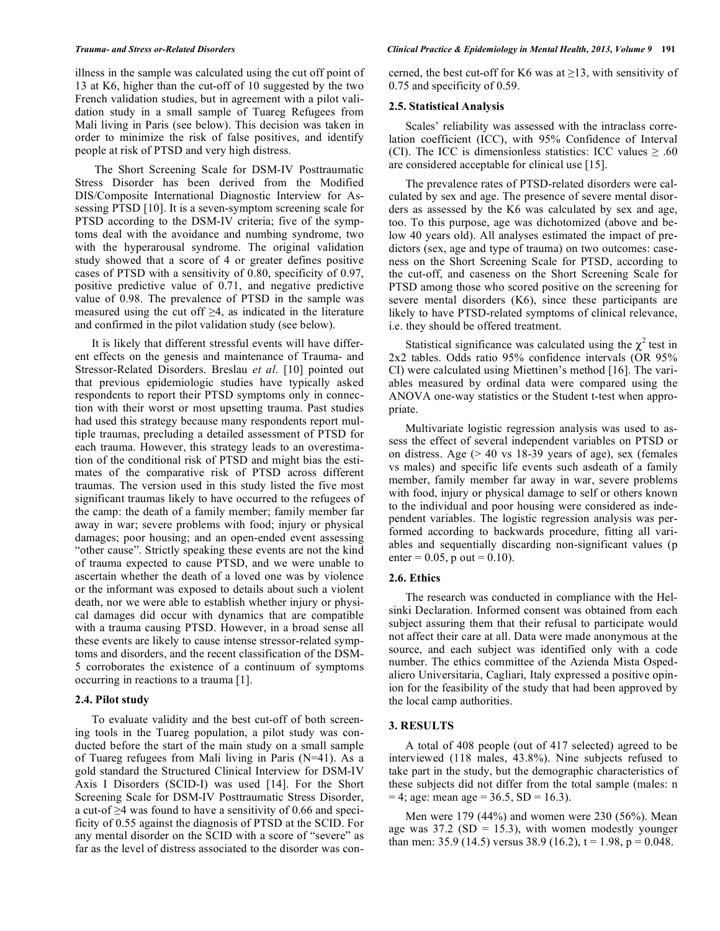illness in the sample was calculated using the cut off point of 13 at K6, higher than the cut-off of 10 suggested by the two French validation studies, but in agreement with a pilot validation study in a small sample of Tuareg Refugees from Mali living in Paris (see below). This decision was taken in order to minimize the risk of false positives, and identify people at risk of PTSD and very high distress.

The Short Screening Scale for DSM-IV Posttraumatic Stress Disorder has been derived from the Modified DIS/Composite International Diagnostic Interview for Assessing PTSD [10]. It is a seven-symptom screening scale for PTSD according to the DSM-IV criteria; five of the symptoms deal with the avoidance and numbing syndrome, two with the hyperarousal syndrome. The original validation study showed that a score of 4 or greater defines positive cases of PTSD with a sensitivity of 0.80, specificity of 0.97, positive predictive value of 0.71, and negative predictive value of 0.98. The prevalence of PTSD in the sample was measured using the cut off  $\geq 4$ , as indicated in the literature and confirmed in the pilot validation study (see below).

It is likely that different stressful events will have different effects on the genesis and maintenance of Trauma- and Stressor-Related Disorders. Breslau *et al*. [10] pointed out that previous epidemiologic studies have typically asked respondents to report their PTSD symptoms only in connection with their worst or most upsetting trauma. Past studies had used this strategy because many respondents report multiple traumas, precluding a detailed assessment of PTSD for each trauma. However, this strategy leads to an overestimation of the conditional risk of PTSD and might bias the estimates of the comparative risk of PTSD across different traumas. The version used in this study listed the five most significant traumas likely to have occurred to the refugees of the camp: the death of a family member; family member far away in war; severe problems with food; injury or physical damages; poor housing; and an open-ended event assessing "other cause". Strictly speaking these events are not the kind of trauma expected to cause PTSD, and we were unable to ascertain whether the death of a loved one was by violence or the informant was exposed to details about such a violent death, nor we were able to establish whether injury or physical damages did occur with dynamics that are compatible with a trauma causing PTSD. However, in a broad sense all these events are likely to cause intense stressor-related symptoms and disorders, and the recent classification of the DSM-5 corroborates the existence of a continuum of symptoms occurring in reactions to a trauma [1].

#### **2.4. Pilot study**

To evaluate validity and the best cut-off of both screening tools in the Tuareg population, a pilot study was conducted before the start of the main study on a small sample of Tuareg refugees from Mali living in Paris (N=41). As a gold standard the Structured Clinical Interview for DSM-IV Axis I Disorders (SCID-I) was used [14]. For the Short Screening Scale for DSM-IV Posttraumatic Stress Disorder, a cut-of ≥4 was found to have a sensitivity of 0.66 and specificity of 0.55 against the diagnosis of PTSD at the SCID. For any mental disorder on the SCID with a score of "severe" as far as the level of distress associated to the disorder was concerned, the best cut-off for K6 was at  $\geq$ 13, with sensitivity of 0.75 and specificity of 0.59.

### **2.5. Statistical Analysis**

Scales' reliability was assessed with the intraclass correlation coefficient (ICC), with 95% Confidence of Interval (CI). The ICC is dimensionless statistics: ICC values  $\geq .60$ are considered acceptable for clinical use [15].

The prevalence rates of PTSD-related disorders were calculated by sex and age. The presence of severe mental disorders as assessed by the K6 was calculated by sex and age, too. To this purpose, age was dichotomized (above and below 40 years old). All analyses estimated the impact of predictors (sex, age and type of trauma) on two outcomes: caseness on the Short Screening Scale for PTSD, according to the cut-off, and caseness on the Short Screening Scale for PTSD among those who scored positive on the screening for severe mental disorders (K6), since these participants are likely to have PTSD-related symptoms of clinical relevance, i.e. they should be offered treatment.

Statistical significance was calculated using the  $\chi^2$  test in 2x2 tables. Odds ratio 95% confidence intervals (OR 95% CI) were calculated using Miettinen's method [16]. The variables measured by ordinal data were compared using the ANOVA one-way statistics or the Student t-test when appropriate.

Multivariate logistic regression analysis was used to assess the effect of several independent variables on PTSD or on distress. Age  $(> 40 \text{ vs } 18-39 \text{ years of age})$ , sex (females vs males) and specific life events such asdeath of a family member, family member far away in war, severe problems with food, injury or physical damage to self or others known to the individual and poor housing were considered as independent variables. The logistic regression analysis was performed according to backwards procedure, fitting all variables and sequentially discarding non-significant values (p enter =  $0.05$ , p out =  $0.10$ ).

# **2.6. Ethics**

The research was conducted in compliance with the Helsinki Declaration. Informed consent was obtained from each subject assuring them that their refusal to participate would not affect their care at all. Data were made anonymous at the source, and each subject was identified only with a code number. The ethics committee of the Azienda Mista Ospedaliero Universitaria, Cagliari, Italy expressed a positive opinion for the feasibility of the study that had been approved by the local camp authorities.

#### **3. RESULTS**

A total of 408 people (out of 417 selected) agreed to be interviewed (118 males, 43.8%). Nine subjects refused to take part in the study, but the demographic characteristics of these subjects did not differ from the total sample (males: n  $= 4$ ; age: mean age  $= 36.5$ , SD  $= 16.3$ ).

Men were 179 (44%) and women were 230 (56%). Mean age was  $37.2$  (SD = 15.3), with women modestly younger than men: 35.9 (14.5) versus 38.9 (16.2),  $t = 1.98$ ,  $p = 0.048$ .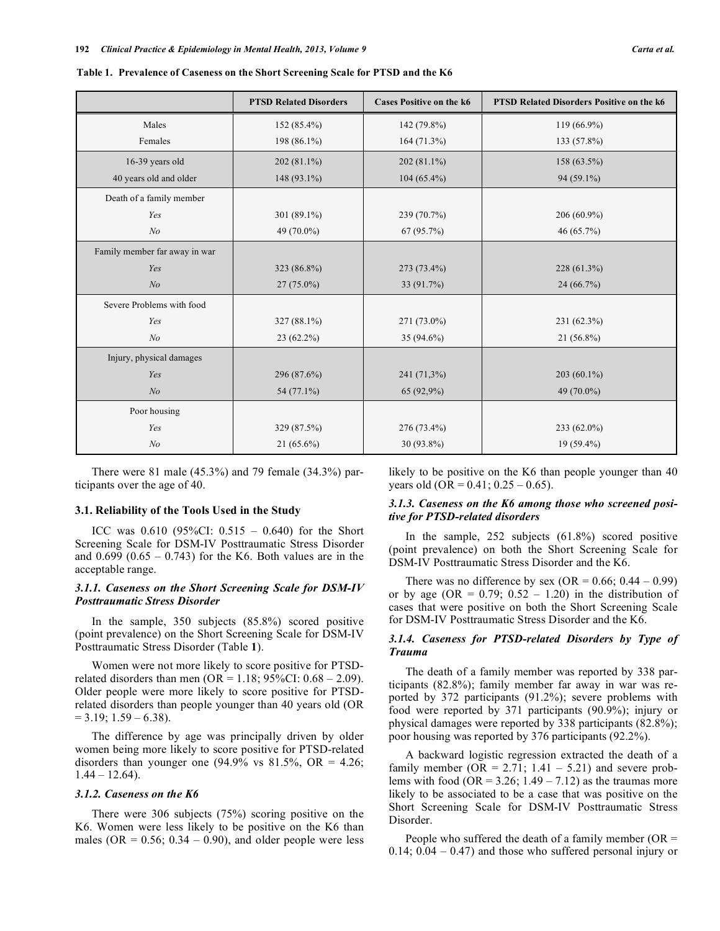|                               | <b>PTSD Related Disorders</b> | <b>Cases Positive on the k6</b> | PTSD Related Disorders Positive on the k6 |
|-------------------------------|-------------------------------|---------------------------------|-------------------------------------------|
| Males                         | 152 (85.4%)                   | 142 (79.8%)                     | 119 (66.9%)                               |
| Females                       | 198 (86.1%)                   | 164(71.3%)                      | 133 (57.8%)                               |
| 16-39 years old               | 202 (81.1%)                   | $202(81.1\%)$                   | 158 (63.5%)                               |
| 40 years old and older        | 148 (93.1%)                   | $104(65.4\%)$                   | 94 (59.1%)                                |
| Death of a family member      |                               |                                 |                                           |
| Yes                           | 301 (89.1%)                   | 239 (70.7%)                     | 206 (60.9%)                               |
| N <sub>o</sub>                | 49 (70.0%)                    | 67(95.7%)                       | 46 (65.7%)                                |
| Family member far away in war |                               |                                 |                                           |
| Yes                           | 323 (86.8%)                   | 273 (73.4%)                     | $228(61.3\%)$                             |
| N <sub>o</sub>                | $27(75.0\%)$                  | 33 (91.7%)                      | 24 (66.7%)                                |
| Severe Problems with food     |                               |                                 |                                           |
| Yes                           | 327 (88.1%)                   | 271 (73.0%)                     | 231 (62.3%)                               |
| N <sub>o</sub>                | $23(62.2\%)$                  | $35(94.6\%)$                    | $21(56.8\%)$                              |
| Injury, physical damages      |                               |                                 |                                           |
| Yes                           | 296 (87.6%)                   | 241 (71,3%)                     | $203(60.1\%)$                             |
| N <sub>o</sub>                | 54 (77.1%)                    | 65 (92,9%)                      | 49 (70.0%)                                |
| Poor housing                  |                               |                                 |                                           |
| Yes                           | 329 (87.5%)                   | 276 (73.4%)                     | 233 (62.0%)                               |
| N <sub>o</sub>                | $21(65.6\%)$                  | 30 (93.8%)                      | $19(59.4\%)$                              |

**Table 1. Prevalence of Caseness on the Short Screening Scale for PTSD and the K6**

There were 81 male (45.3%) and 79 female (34.3%) participants over the age of 40.

#### **3.1. Reliability of the Tools Used in the Study**

ICC was  $0.610$  (95%CI:  $0.515 - 0.640$ ) for the Short Screening Scale for DSM-IV Posttraumatic Stress Disorder and  $0.699 (0.65 - 0.743)$  for the K6. Both values are in the acceptable range.

# *3.1.1. Caseness on the Short Screening Scale for DSM-IV Posttraumatic Stress Disorder*

In the sample, 350 subjects (85.8%) scored positive (point prevalence) on the Short Screening Scale for DSM-IV Posttraumatic Stress Disorder (Table **1**).

Women were not more likely to score positive for PTSDrelated disorders than men (OR =  $1.18$ ; 95%CI: 0.68 – 2.09). Older people were more likely to score positive for PTSDrelated disorders than people younger than 40 years old (OR  $= 3.19$ ; 1.59 – 6.38).

The difference by age was principally driven by older women being more likely to score positive for PTSD-related disorders than younger one  $(94.9\% \text{ vs } 81.5\%, \text{ OR } = 4.26;$  $1.44 - 12.64$ ).

# *3.1.2. Caseness on the K6*

There were 306 subjects (75%) scoring positive on the K6. Women were less likely to be positive on the K6 than males (OR =  $0.56$ ;  $0.34 - 0.90$ ), and older people were less likely to be positive on the K6 than people younger than 40 years old  $(OR = 0.41; 0.25 - 0.65)$ .

# *3.1.3. Caseness on the K6 among those who screened positive for PTSD-related disorders*

In the sample, 252 subjects (61.8%) scored positive (point prevalence) on both the Short Screening Scale for DSM-IV Posttraumatic Stress Disorder and the K6.

There was no difference by sex (OR =  $0.66$ ;  $0.44 - 0.99$ ) or by age (OR =  $0.79$ ;  $0.52 - 1.20$ ) in the distribution of cases that were positive on both the Short Screening Scale for DSM-IV Posttraumatic Stress Disorder and the K6.

# *3.1.4. Caseness for PTSD-related Disorders by Type of Trauma*

The death of a family member was reported by 338 participants (82.8%); family member far away in war was reported by 372 participants (91.2%); severe problems with food were reported by 371 participants (90.9%); injury or physical damages were reported by 338 participants (82.8%); poor housing was reported by 376 participants (92.2%).

A backward logistic regression extracted the death of a family member ( $OR = 2.71$ ;  $1.41 - 5.21$ ) and severe problems with food (OR =  $3.26$ ; 1.49 –  $7.12$ ) as the traumas more likely to be associated to be a case that was positive on the Short Screening Scale for DSM-IV Posttraumatic Stress Disorder.

People who suffered the death of a family member  $(OR =$  $0.14$ ;  $0.04 - 0.47$ ) and those who suffered personal injury or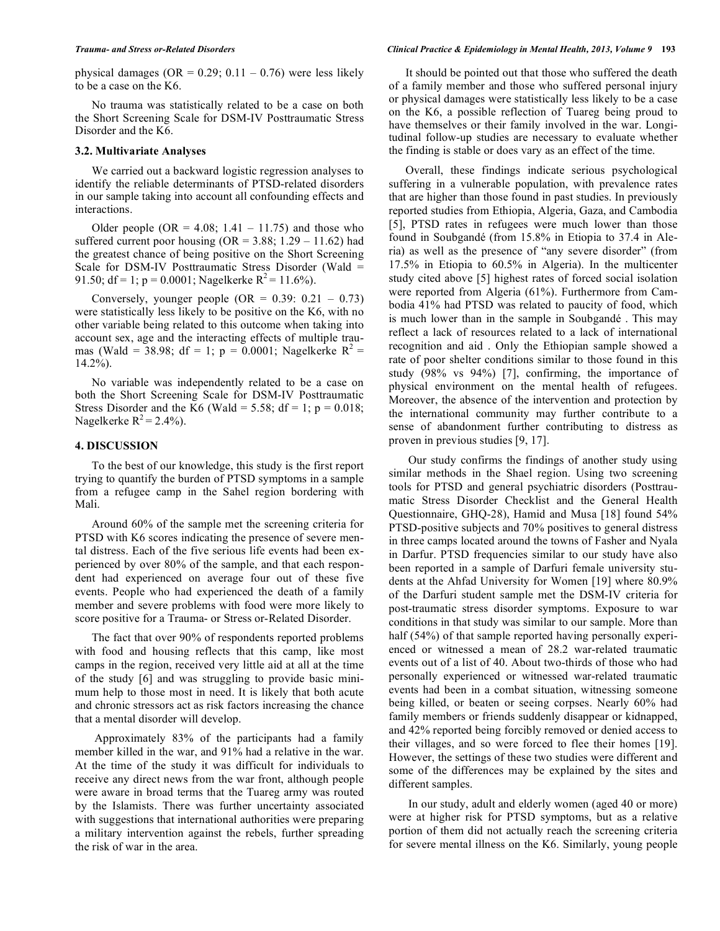physical damages ( $OR = 0.29$ ;  $0.11 - 0.76$ ) were less likely to be a case on the K6.

No trauma was statistically related to be a case on both the Short Screening Scale for DSM-IV Posttraumatic Stress Disorder and the K6.

# **3.2. Multivariate Analyses**

We carried out a backward logistic regression analyses to identify the reliable determinants of PTSD-related disorders in our sample taking into account all confounding effects and interactions.

Older people  $(OR = 4.08; 1.41 - 11.75)$  and those who suffered current poor housing  $(OR = 3.88; 1.29 - 11.62)$  had the greatest chance of being positive on the Short Screening Scale for DSM-IV Posttraumatic Stress Disorder (Wald = 91.50; df = 1; p = 0.0001; Nagelkerke  $R^2$  = 11.6%).

Conversely, younger people  $(OR = 0.39: 0.21 - 0.73)$ were statistically less likely to be positive on the K6, with no other variable being related to this outcome when taking into account sex, age and the interacting effects of multiple traumas (Wald = 38.98; df = 1; p = 0.0001; Nagelkerke  $R^2$  = 14.2%).

No variable was independently related to be a case on both the Short Screening Scale for DSM-IV Posttraumatic Stress Disorder and the K6 (Wald = 5.58; df = 1;  $p = 0.018$ ; Nagelkerke  $R^2 = 2.4\%$ ).

# **4. DISCUSSION**

To the best of our knowledge, this study is the first report trying to quantify the burden of PTSD symptoms in a sample from a refugee camp in the Sahel region bordering with Mali.

Around 60% of the sample met the screening criteria for PTSD with K6 scores indicating the presence of severe mental distress. Each of the five serious life events had been experienced by over 80% of the sample, and that each respondent had experienced on average four out of these five events. People who had experienced the death of a family member and severe problems with food were more likely to score positive for a Trauma- or Stress or-Related Disorder.

The fact that over 90% of respondents reported problems with food and housing reflects that this camp, like most camps in the region, received very little aid at all at the time of the study [6] and was struggling to provide basic minimum help to those most in need. It is likely that both acute and chronic stressors act as risk factors increasing the chance that a mental disorder will develop.

Approximately 83% of the participants had a family member killed in the war, and 91% had a relative in the war. At the time of the study it was difficult for individuals to receive any direct news from the war front, although people were aware in broad terms that the Tuareg army was routed by the Islamists. There was further uncertainty associated with suggestions that international authorities were preparing a military intervention against the rebels, further spreading the risk of war in the area.

It should be pointed out that those who suffered the death of a family member and those who suffered personal injury or physical damages were statistically less likely to be a case on the K6, a possible reflection of Tuareg being proud to have themselves or their family involved in the war. Longitudinal follow-up studies are necessary to evaluate whether the finding is stable or does vary as an effect of the time.

Overall, these findings indicate serious psychological suffering in a vulnerable population, with prevalence rates that are higher than those found in past studies. In previously reported studies from Ethiopia, Algeria, Gaza, and Cambodia [5], PTSD rates in refugees were much lower than those found in Soubgandé (from 15.8% in Etiopia to 37.4 in Aleria) as well as the presence of "any severe disorder" (from 17.5% in Etiopia to 60.5% in Algeria). In the multicenter study cited above [5] highest rates of forced social isolation were reported from Algeria (61%). Furthermore from Cambodia 41% had PTSD was related to paucity of food, which is much lower than in the sample in Soubgandé . This may reflect a lack of resources related to a lack of international recognition and aid . Only the Ethiopian sample showed a rate of poor shelter conditions similar to those found in this study (98% vs 94%) [7], confirming, the importance of physical environment on the mental health of refugees. Moreover, the absence of the intervention and protection by the international community may further contribute to a sense of abandonment further contributing to distress as proven in previous studies [9, 17].

Our study confirms the findings of another study using similar methods in the Shael region. Using two screening tools for PTSD and general psychiatric disorders (Posttraumatic Stress Disorder Checklist and the General Health Questionnaire, GHQ-28), Hamid and Musa [18] found 54% PTSD-positive subjects and 70% positives to general distress in three camps located around the towns of Fasher and Nyala in Darfur. PTSD frequencies similar to our study have also been reported in a sample of Darfuri female university students at the Ahfad University for Women [19] where 80.9% of the Darfuri student sample met the DSM-IV criteria for post-traumatic stress disorder symptoms. Exposure to war conditions in that study was similar to our sample. More than half (54%) of that sample reported having personally experienced or witnessed a mean of 28.2 war-related traumatic events out of a list of 40. About two-thirds of those who had personally experienced or witnessed war-related traumatic events had been in a combat situation, witnessing someone being killed, or beaten or seeing corpses. Nearly 60% had family members or friends suddenly disappear or kidnapped, and 42% reported being forcibly removed or denied access to their villages, and so were forced to flee their homes [19]. However, the settings of these two studies were different and some of the differences may be explained by the sites and different samples.

In our study, adult and elderly women (aged 40 or more) were at higher risk for PTSD symptoms, but as a relative portion of them did not actually reach the screening criteria for severe mental illness on the K6. Similarly, young people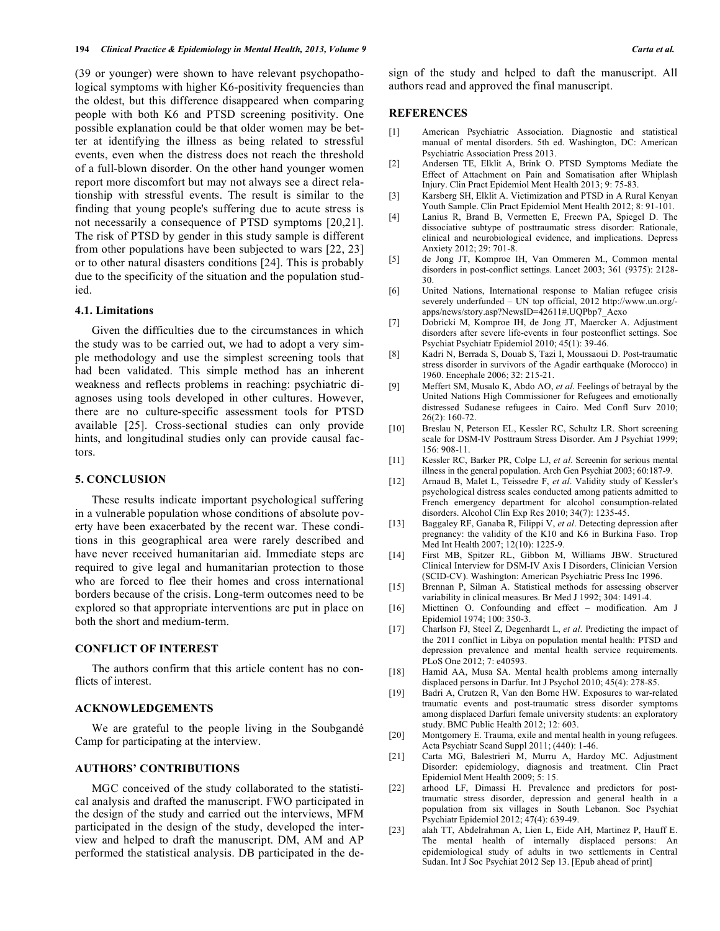(39 or younger) were shown to have relevant psychopathological symptoms with higher K6-positivity frequencies than the oldest, but this difference disappeared when comparing people with both K6 and PTSD screening positivity. One possible explanation could be that older women may be better at identifying the illness as being related to stressful events, even when the distress does not reach the threshold of a full-blown disorder. On the other hand younger women report more discomfort but may not always see a direct relationship with stressful events. The result is similar to the finding that young people's suffering due to acute stress is not necessarily a consequence of PTSD symptoms [20,21]. The risk of PTSD by gender in this study sample is different from other populations have been subjected to wars [22, 23] or to other natural disasters conditions [24]. This is probably due to the specificity of the situation and the population studied.

# **4.1. Limitations**

Given the difficulties due to the circumstances in which the study was to be carried out, we had to adopt a very simple methodology and use the simplest screening tools that had been validated. This simple method has an inherent weakness and reflects problems in reaching: psychiatric diagnoses using tools developed in other cultures. However, there are no culture-specific assessment tools for PTSD available [25]. Cross-sectional studies can only provide hints, and longitudinal studies only can provide causal factors.

# **5. CONCLUSION**

These results indicate important psychological suffering in a vulnerable population whose conditions of absolute poverty have been exacerbated by the recent war. These conditions in this geographical area were rarely described and have never received humanitarian aid. Immediate steps are required to give legal and humanitarian protection to those who are forced to flee their homes and cross international borders because of the crisis. Long-term outcomes need to be explored so that appropriate interventions are put in place on both the short and medium-term.

# **CONFLICT OF INTEREST**

The authors confirm that this article content has no conflicts of interest.

# **ACKNOWLEDGEMENTS**

We are grateful to the people living in the Soubgandé Camp for participating at the interview.

# **AUTHORS' CONTRIBUTIONS**

MGC conceived of the study collaborated to the statistical analysis and drafted the manuscript. FWO participated in the design of the study and carried out the interviews, MFM participated in the design of the study, developed the interview and helped to draft the manuscript. DM, AM and AP performed the statistical analysis. DB participated in the design of the study and helped to daft the manuscript. All authors read and approved the final manuscript.

#### **REFERENCES**

- [1] American Psychiatric Association. Diagnostic and statistical manual of mental disorders. 5th ed. Washington, DC: American Psychiatric Association Press 2013.
- [2] Andersen TE, Elklit A, Brink O. PTSD Symptoms Mediate the Effect of Attachment on Pain and Somatisation after Whiplash Injury. Clin Pract Epidemiol Ment Health 2013; 9: 75-83.
- [3] Karsberg SH, Elklit A. Victimization and PTSD in A Rural Kenyan Youth Sample. Clin Pract Epidemiol Ment Health 2012; 8: 91-101.
- [4] Lanius R, Brand B, Vermetten E, Freewn PA, Spiegel D. The dissociative subtype of posttraumatic stress disorder: Rationale, clinical and neurobiological evidence, and implications. Depress Anxiety 2012; 29: 701-8.
- [5] de Jong JT, Komproe IH, Van Ommeren M., Common mental disorders in post-conflict settings. Lancet 2003; 361 (9375): 2128- 30.
- [6] United Nations, International response to Malian refugee crisis severely underfunded – UN top official, 2012 http://www.un.org/ apps/news/story.asp?NewsID=42611#.UQPbp7\_Aexo
- [7] Dobricki M, Komproe IH, de Jong JT, Maercker A. Adjustment disorders after severe life-events in four postconflict settings. Soc Psychiat Psychiatr Epidemiol 2010; 45(1): 39-46.
- [8] Kadri N, Berrada S, Douab S, Tazi I, Moussaoui D. Post-traumatic stress disorder in survivors of the Agadir earthquake (Morocco) in 1960. Encephale 2006; 32: 215-21.
- [9] Meffert SM, Musalo K, Abdo AO, *et al*. Feelings of betrayal by the United Nations High Commissioner for Refugees and emotionally distressed Sudanese refugees in Cairo. Med Confl Surv 2010; 26(2): 160-72.
- [10] Breslau N, Peterson EL, Kessler RC, Schultz LR. Short screening scale for DSM-IV Posttraum Stress Disorder. Am J Psychiat 1999; 156: 908-11.
- [11] Kessler RC, Barker PR, Colpe LJ, *et al*. Screenin for serious mental illness in the general population. Arch Gen Psychiat 2003; 60:187-9.
- [12] Arnaud B, Malet L, Teissedre F, *et al*. Validity study of Kessler's psychological distress scales conducted among patients admitted to French emergency department for alcohol consumption-related disorders. Alcohol Clin Exp Res 2010; 34(7): 1235-45.
- [13] Baggaley RF, Ganaba R, Filippi V, *et al*. Detecting depression after pregnancy: the validity of the K10 and K6 in Burkina Faso. Trop Med Int Health 2007; 12(10): 1225-9.
- [14] First MB, Spitzer RL, Gibbon M, Williams JBW. Structured Clinical Interview for DSM-IV Axis I Disorders, Clinician Version (SCID-CV). Washington: American Psychiatric Press Inc 1996.
- [15] Brennan P, Silman A. Statistical methods for assessing observer variability in clinical measures. Br Med J 1992; 304: 1491-4.
- [16] Miettinen O. Confounding and effect modification. Am J Epidemiol 1974; 100: 350-3.
- [17] Charlson FJ, Steel Z, Degenhardt L, *et al*. Predicting the impact of the 2011 conflict in Libya on population mental health: PTSD and depression prevalence and mental health service requirements. PLoS One 2012; 7: e40593.
- [18] Hamid AA, Musa SA. Mental health problems among internally displaced persons in Darfur. Int J Psychol 2010; 45(4): 278-85.
- [19] Badri A, Crutzen R, Van den Borne HW. Exposures to war-related traumatic events and post-traumatic stress disorder symptoms among displaced Darfuri female university students: an exploratory study. BMC Public Health 2012; 12: 603.
- [20] Montgomery E. Trauma, exile and mental health in young refugees. Acta Psychiatr Scand Suppl 2011; (440): 1-46.
- [21] Carta MG, Balestrieri M, Murru A, Hardoy MC. Adjustment Disorder: epidemiology, diagnosis and treatment. Clin Pract Epidemiol Ment Health 2009; 5: 15.
- [22] arhood LF, Dimassi H. Prevalence and predictors for posttraumatic stress disorder, depression and general health in a population from six villages in South Lebanon. Soc Psychiat Psychiatr Epidemiol 2012; 47(4): 639-49.
- [23] alah TT, Abdelrahman A, Lien L, Eide AH, Martinez P, Hauff E. The mental health of internally displaced persons: An epidemiological study of adults in two settlements in Central Sudan. Int J Soc Psychiat 2012 Sep 13. [Epub ahead of print]